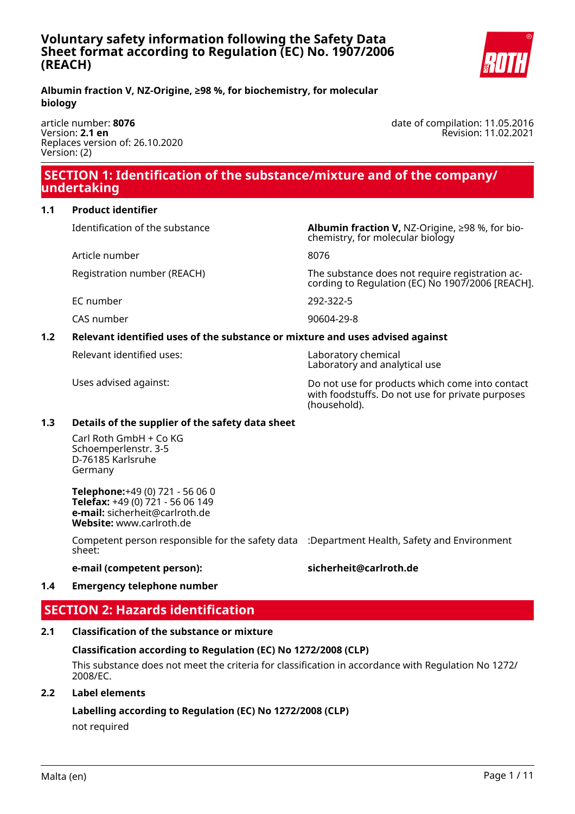

date of compilation: 11.05.2016

Revision: 11.02.2021

#### **Albumin fraction V, NZ-Origine, ≥98 %, for biochemistry, for molecular biology**

article number: **8076** Version: **2.1 en** Replaces version of: 26.10.2020 Version: (2)

### **SECTION 1: Identification of the substance/mixture and of the company/ undertaking**

**1.1 Product identifier**

Identification of the substance **Albumin fraction V,** NZ-Origine, ≥98 %, for bio-

Article number 8076

EC number 292-322-5

CAS number 90604-29-8

#### **1.2 Relevant identified uses of the substance or mixture and uses advised against**

Relevant identified uses: Laboratory chemical

chemistry, for molecular biology

Registration number (REACH) The substance does not require registration according to Regulation (EC) No 1907/2006 [REACH].

Laboratory and analytical use

Uses advised against: Do not use for products which come into contact with foodstuffs. Do not use for private purposes (household).

### **1.3 Details of the supplier of the safety data sheet**

Carl Roth GmbH + Co KG Schoemperlenstr. 3-5 D-76185 Karlsruhe Germany

**Telephone:**+49 (0) 721 - 56 06 0 **Telefax:** +49 (0) 721 - 56 06 149 **e-mail:** sicherheit@carlroth.de **Website:** www.carlroth.de

Competent person responsible for the safety data :Department Health, Safety and Environment sheet:

### **e-mail (competent person): sicherheit@carlroth.de**

### **1.4 Emergency telephone number**

## **SECTION 2: Hazards identification**

### **2.1 Classification of the substance or mixture**

### **Classification according to Regulation (EC) No 1272/2008 (CLP)**

This substance does not meet the criteria for classification in accordance with Regulation No 1272/ 2008/EC.

### **2.2 Label elements**

### **Labelling according to Regulation (EC) No 1272/2008 (CLP)**

not required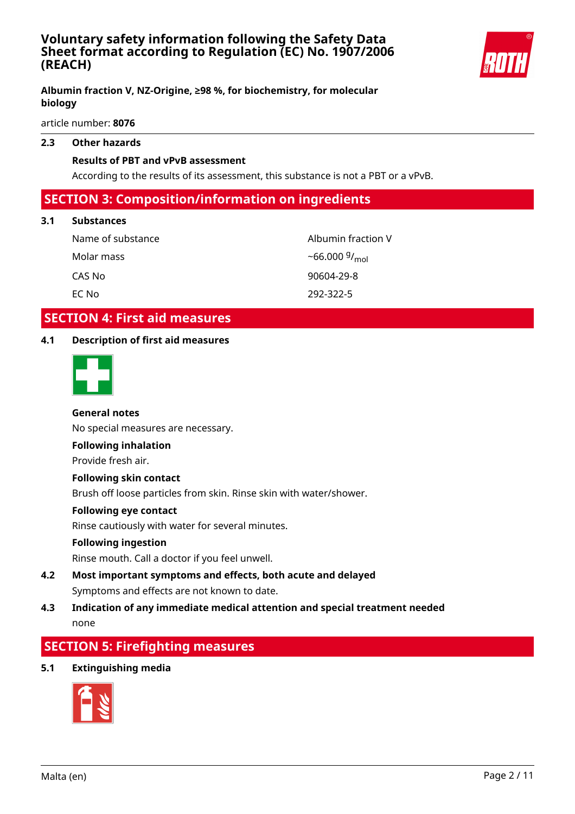

#### **Albumin fraction V, NZ-Origine, ≥98 %, for biochemistry, for molecular biology**

article number: **8076**

#### **2.3 Other hazards**

#### **Results of PBT and vPvB assessment**

According to the results of its assessment, this substance is not a PBT or a vPvB.

### **SECTION 3: Composition/information on ingredients**

#### **3.1 Substances**

Name of substance Albumin fraction V Molar mass CAS No 90604-29-8 EC No 292-322-5

 $-66.000\frac{g}{mol}$ 

### **SECTION 4: First aid measures**

#### **4.1 Description of first aid measures**



#### **General notes**

No special measures are necessary.

#### **Following inhalation**

Provide fresh air.

#### **Following skin contact**

Brush off loose particles from skin. Rinse skin with water/shower.

#### **Following eye contact**

Rinse cautiously with water for several minutes.

#### **Following ingestion**

Rinse mouth. Call a doctor if you feel unwell.

**4.2 Most important symptoms and effects, both acute and delayed** Symptoms and effects are not known to date.

### **4.3 Indication of any immediate medical attention and special treatment needed** none

### **SECTION 5: Firefighting measures**

#### **5.1 Extinguishing media**

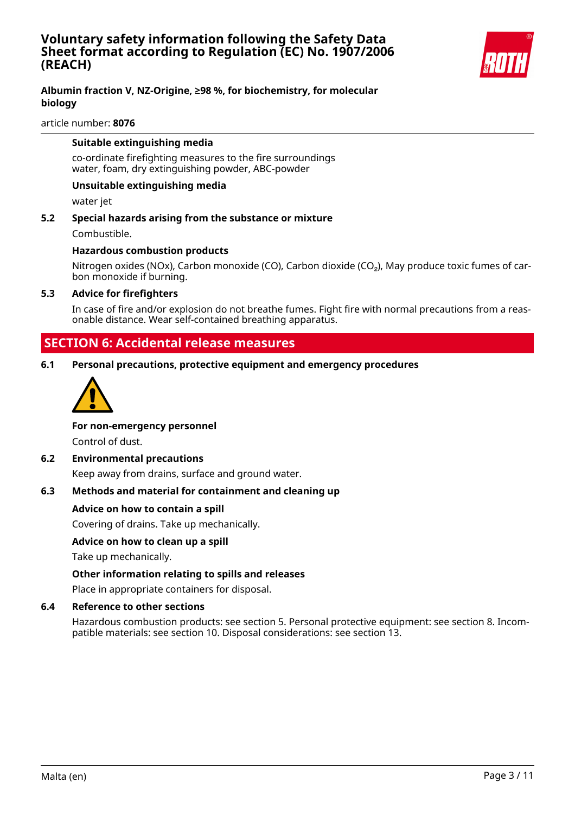

#### **Albumin fraction V, NZ-Origine, ≥98 %, for biochemistry, for molecular biology**

article number: **8076**

#### **Suitable extinguishing media**

co-ordinate firefighting measures to the fire surroundings water, foam, dry extinguishing powder, ABC-powder

#### **Unsuitable extinguishing media**

water jet

**5.2 Special hazards arising from the substance or mixture** Combustible.

#### **Hazardous combustion products**

Nitrogen oxides (NOx), Carbon monoxide (CO), Carbon dioxide (CO<sub>2</sub>), May produce toxic fumes of carbon monoxide if burning.

#### **5.3 Advice for firefighters**

In case of fire and/or explosion do not breathe fumes. Fight fire with normal precautions from a reasonable distance. Wear self-contained breathing apparatus.

### **SECTION 6: Accidental release measures**

**6.1 Personal precautions, protective equipment and emergency procedures**



#### **For non-emergency personnel**

Control of dust.

#### **6.2 Environmental precautions**

Keep away from drains, surface and ground water.

#### **6.3 Methods and material for containment and cleaning up**

#### **Advice on how to contain a spill**

Covering of drains. Take up mechanically.

#### **Advice on how to clean up a spill**

Take up mechanically.

#### **Other information relating to spills and releases**

Place in appropriate containers for disposal.

#### **6.4 Reference to other sections**

Hazardous combustion products: see section 5. Personal protective equipment: see section 8. Incompatible materials: see section 10. Disposal considerations: see section 13.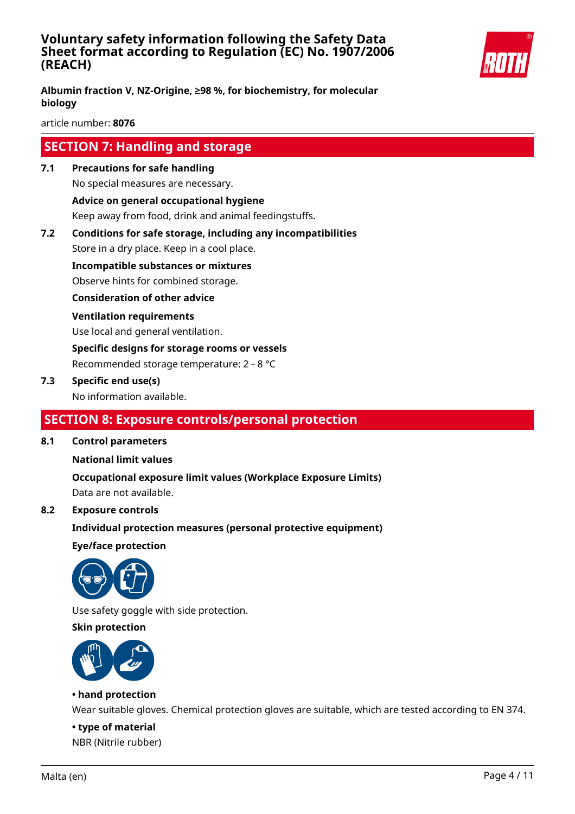

**Albumin fraction V, NZ-Origine, ≥98 %, for biochemistry, for molecular biology**

article number: **8076**

### **SECTION 7: Handling and storage**

**7.1 Precautions for safe handling**

No special measures are necessary.

**Advice on general occupational hygiene**

Keep away from food, drink and animal feedingstuffs.

**7.2 Conditions for safe storage, including any incompatibilities**

Store in a dry place. Keep in a cool place.

**Incompatible substances or mixtures**

Observe hints for combined storage.

**Consideration of other advice**

#### **Ventilation requirements**

Use local and general ventilation.

**Specific designs for storage rooms or vessels**

Recommended storage temperature: 2 – 8 °C

#### **7.3 Specific end use(s)**

No information available.

### **SECTION 8: Exposure controls/personal protection**

**8.1 Control parameters**

### **National limit values**

**Occupational exposure limit values (Workplace Exposure Limits)** Data are not available.

### **8.2 Exposure controls**

**Individual protection measures (personal protective equipment)**

**Eye/face protection**



Use safety goggle with side protection.

#### **Skin protection**



#### **• hand protection**

Wear suitable gloves. Chemical protection gloves are suitable, which are tested according to EN 374.

**• type of material** NBR (Nitrile rubber)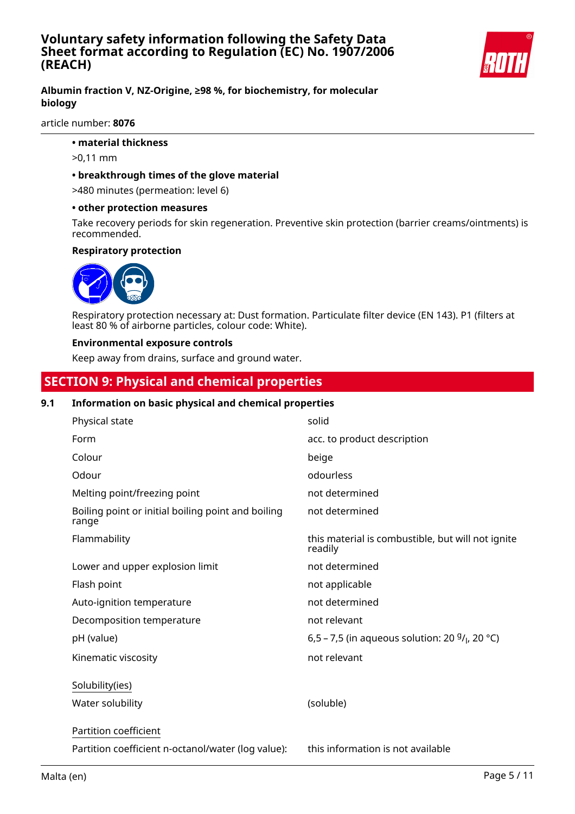

#### **Albumin fraction V, NZ-Origine, ≥98 %, for biochemistry, for molecular biology**

article number: **8076**

- **material thickness**
- >0,11 mm

#### **• breakthrough times of the glove material**

>480 minutes (permeation: level 6)

#### **• other protection measures**

Take recovery periods for skin regeneration. Preventive skin protection (barrier creams/ointments) is recommended.

#### **Respiratory protection**



Respiratory protection necessary at: Dust formation. Particulate filter device (EN 143). P1 (filters at least 80 % of airborne particles, colour code: White).

#### **Environmental exposure controls**

Keep away from drains, surface and ground water.

### **SECTION 9: Physical and chemical properties**

#### **9.1 Information on basic physical and chemical properties**

| Physical state                                              | solid                                                         |
|-------------------------------------------------------------|---------------------------------------------------------------|
| Form                                                        | acc. to product description                                   |
| Colour                                                      | beige                                                         |
| Odour                                                       | odourless                                                     |
| Melting point/freezing point                                | not determined                                                |
| Boiling point or initial boiling point and boiling<br>range | not determined                                                |
| Flammability                                                | this material is combustible, but will not ignite<br>readily  |
| Lower and upper explosion limit                             | not determined                                                |
| Flash point                                                 | not applicable                                                |
| Auto-ignition temperature                                   | not determined                                                |
| Decomposition temperature                                   | not relevant                                                  |
| pH (value)                                                  | 6,5 – 7,5 (in aqueous solution: 20 $9/$ <sub>l</sub> , 20 °C) |
| Kinematic viscosity                                         | not relevant                                                  |
| Solubility(ies)                                             |                                                               |
| Water solubility                                            | (soluble)                                                     |
| Partition coefficient                                       |                                                               |
| Partition coefficient n-octanol/water (log value):          | this information is not available                             |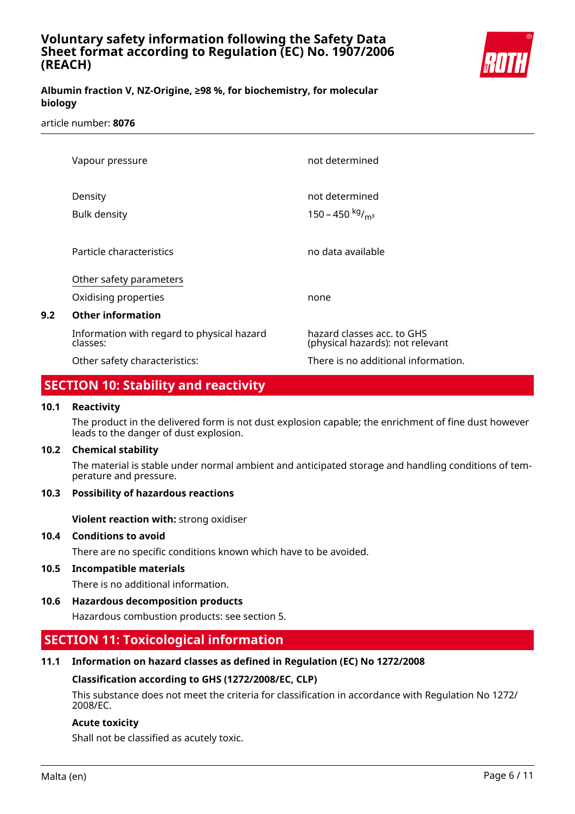

### **Albumin fraction V, NZ-Origine, ≥98 %, for biochemistry, for molecular biology**

#### article number: **8076**

|     | Vapour pressure                                                             | not determined                                                 |
|-----|-----------------------------------------------------------------------------|----------------------------------------------------------------|
|     | Density<br><b>Bulk density</b>                                              | not determined<br>150 – 450 kg/m <sup>3</sup>                  |
|     | Particle characteristics                                                    | no data available                                              |
| 9.2 | Other safety parameters<br>Oxidising properties<br><b>Other information</b> | none                                                           |
|     | Information with regard to physical hazard<br>classes:                      | hazard classes acc. to GHS<br>(physical hazards): not relevant |
|     | Other safety characteristics:                                               | There is no additional information.                            |

### **SECTION 10: Stability and reactivity**

#### **10.1 Reactivity**

The product in the delivered form is not dust explosion capable; the enrichment of fine dust however leads to the danger of dust explosion.

#### **10.2 Chemical stability**

The material is stable under normal ambient and anticipated storage and handling conditions of temperature and pressure.

#### **10.3 Possibility of hazardous reactions**

**Violent reaction with:** strong oxidiser

#### **10.4 Conditions to avoid**

There are no specific conditions known which have to be avoided.

#### **10.5 Incompatible materials**

There is no additional information.

#### **10.6 Hazardous decomposition products**

Hazardous combustion products: see section 5.

### **SECTION 11: Toxicological information**

#### **11.1 Information on hazard classes as defined in Regulation (EC) No 1272/2008**

#### **Classification according to GHS (1272/2008/EC, CLP)**

This substance does not meet the criteria for classification in accordance with Regulation No 1272/ 2008/EC.

#### **Acute toxicity**

Shall not be classified as acutely toxic.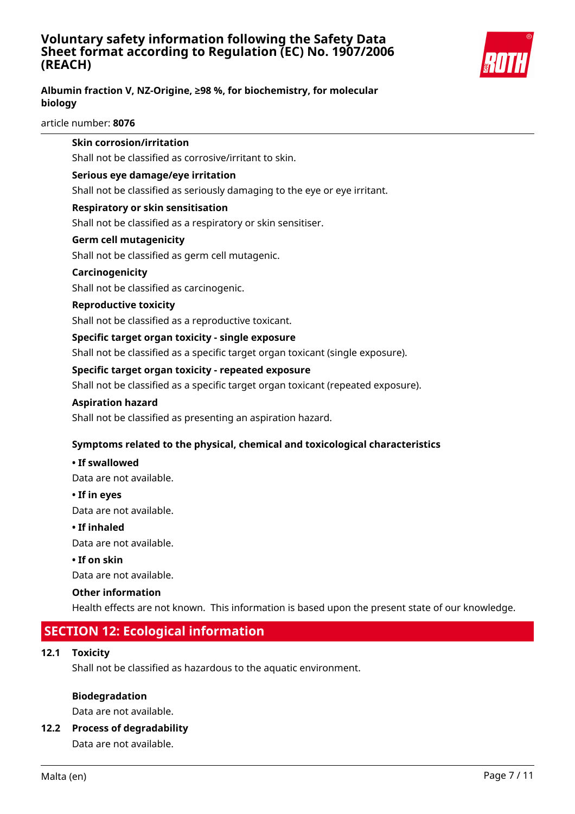

### **Albumin fraction V, NZ-Origine, ≥98 %, for biochemistry, for molecular biology**

article number: **8076**

| 12.1 | <b>Toxicity</b><br>Shall not be classified as hazardous to the aquatic environment.                            |
|------|----------------------------------------------------------------------------------------------------------------|
|      | <b>SECTION 12: Ecological information</b>                                                                      |
|      | Health effects are not known. This information is based upon the present state of our knowledge.               |
|      | <b>Other information</b>                                                                                       |
|      | Data are not available.                                                                                        |
|      | • If on skin                                                                                                   |
|      | Data are not available.                                                                                        |
|      | • If inhaled                                                                                                   |
|      | Data are not available.                                                                                        |
|      | • If in eyes                                                                                                   |
|      | Data are not available.                                                                                        |
|      | • If swallowed                                                                                                 |
|      | Symptoms related to the physical, chemical and toxicological characteristics                                   |
|      | Shall not be classified as presenting an aspiration hazard.                                                    |
|      | <b>Aspiration hazard</b>                                                                                       |
|      | Shall not be classified as a specific target organ toxicant (repeated exposure).                               |
|      | Specific target organ toxicity - repeated exposure                                                             |
|      | Shall not be classified as a specific target organ toxicant (single exposure).                                 |
|      | Specific target organ toxicity - single exposure                                                               |
|      | Shall not be classified as a reproductive toxicant.                                                            |
|      | <b>Reproductive toxicity</b>                                                                                   |
|      | Shall not be classified as carcinogenic.                                                                       |
|      | Carcinogenicity                                                                                                |
|      | Shall not be classified as germ cell mutagenic.                                                                |
|      | <b>Germ cell mutagenicity</b>                                                                                  |
|      | Shall not be classified as a respiratory or skin sensitiser.                                                   |
|      | <b>Respiratory or skin sensitisation</b>                                                                       |
|      | Serious eye damage/eye irritation<br>Shall not be classified as seriously damaging to the eye or eye irritant. |
|      |                                                                                                                |
|      | Shall not be classified as corrosive/irritant to skin.                                                         |
|      | <b>Skin corrosion/irritation</b>                                                                               |

Data are not available.

### **12.2 Process of degradability**

Data are not available.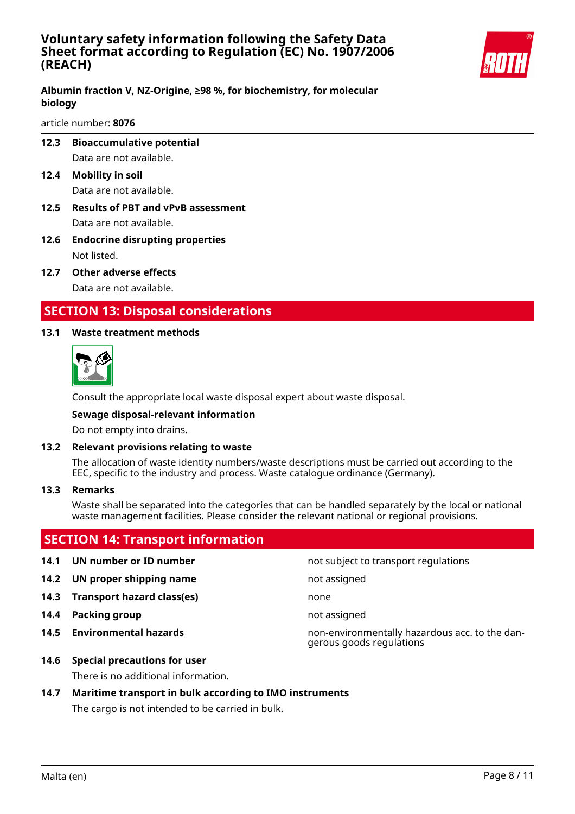

#### **Albumin fraction V, NZ-Origine, ≥98 %, for biochemistry, for molecular biology**

article number: **8076**

- **12.3 Bioaccumulative potential** Data are not available.
- **12.4 Mobility in soil** Data are not available.
- **12.5 Results of PBT and vPvB assessment** Data are not available.
- **12.6 Endocrine disrupting properties** Not listed.
- **12.7 Other adverse effects** Data are not available.

### **SECTION 13: Disposal considerations**

#### **13.1 Waste treatment methods**



Consult the appropriate local waste disposal expert about waste disposal.

#### **Sewage disposal-relevant information**

Do not empty into drains.

#### **13.2 Relevant provisions relating to waste**

The allocation of waste identity numbers/waste descriptions must be carried out according to the EEC, specific to the industry and process. Waste catalogue ordinance (Germany).

#### **13.3 Remarks**

Waste shall be separated into the categories that can be handled separately by the local or national waste management facilities. Please consider the relevant national or regional provisions.

### **SECTION 14: Transport information**

#### **14.1 UN number or ID number not subject to transport regulations**

- **14.2 UN proper shipping name** not assigned
- **14.3 Transport hazard class(es)** none
- **14.4 Packing group not assigned**
- 

**14.5 Environmental hazards** non-environmentally hazardous acc. to the dangerous goods regulations

**14.6 Special precautions for user**

There is no additional information.

#### **14.7 Maritime transport in bulk according to IMO instruments**

The cargo is not intended to be carried in bulk.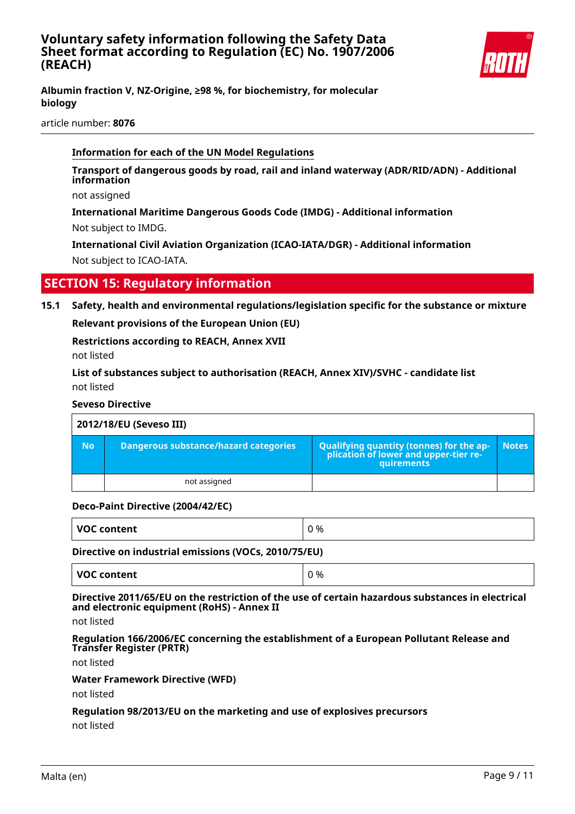

**Albumin fraction V, NZ-Origine, ≥98 %, for biochemistry, for molecular biology**

article number: **8076**

#### **Information for each of the UN Model Regulations**

**Transport of dangerous goods by road, rail and inland waterway (ADR/RID/ADN) - Additional information**

not assigned

**International Maritime Dangerous Goods Code (IMDG) - Additional information** Not subject to IMDG.

**International Civil Aviation Organization (ICAO-IATA/DGR) - Additional information** Not subject to ICAO-IATA.

### **SECTION 15: Regulatory information**

**15.1 Safety, health and environmental regulations/legislation specific for the substance or mixture**

**Relevant provisions of the European Union (EU)**

**Restrictions according to REACH, Annex XVII**

not listed

**List of substances subject to authorisation (REACH, Annex XIV)/SVHC - candidate list** not listed

#### **Seveso Directive**

| 2012/18/EU (Seveso III) |                                       |                                                                                                   |              |
|-------------------------|---------------------------------------|---------------------------------------------------------------------------------------------------|--------------|
| <b>No</b>               | Dangerous substance/hazard categories | Qualifying quantity (tonnes) for the ap-<br>  plication of lower and upper-tier re-<br>quirements | <b>Notes</b> |
|                         | not assigned                          |                                                                                                   |              |

#### **Deco-Paint Directive (2004/42/EC)**

| VOC content<br>%<br>. .<br>_ _ _ _ _ |
|--------------------------------------|
|--------------------------------------|

#### **Directive on industrial emissions (VOCs, 2010/75/EU)**

| <b>VOC content</b> | 0 % |
|--------------------|-----|
|                    |     |

#### **Directive 2011/65/EU on the restriction of the use of certain hazardous substances in electrical and electronic equipment (RoHS) - Annex II**

not listed

**Regulation 166/2006/EC concerning the establishment of a European Pollutant Release and Transfer Register (PRTR)**

not listed

#### **Water Framework Directive (WFD)**

not listed

### **Regulation 98/2013/EU on the marketing and use of explosives precursors**

not listed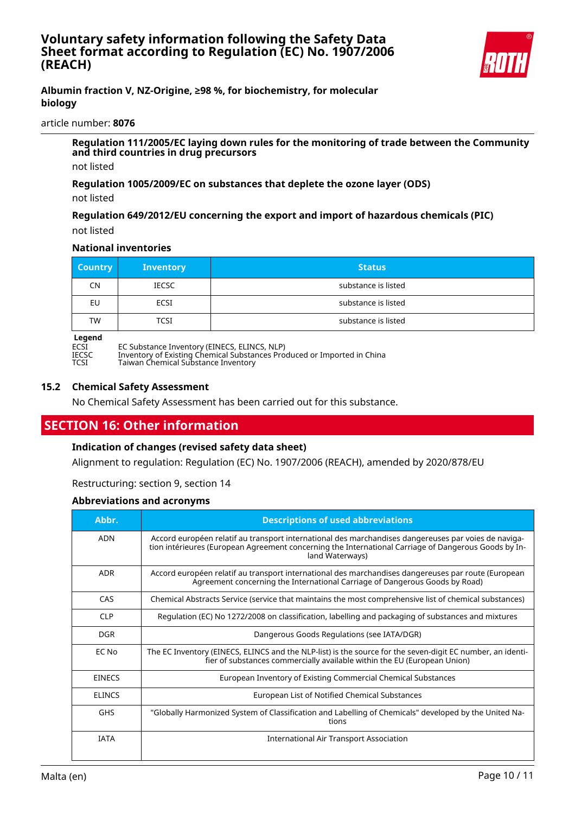

#### **Albumin fraction V, NZ-Origine, ≥98 %, for biochemistry, for molecular biology**

#### article number: **8076**

**Regulation 111/2005/EC laying down rules for the monitoring of trade between the Community and third countries in drug precursors**

not listed

**Regulation 1005/2009/EC on substances that deplete the ozone layer (ODS)**

not listed

**Regulation 649/2012/EU concerning the export and import of hazardous chemicals (PIC)** not listed

#### **National inventories**

| <b>Country</b> | <b>Inventory</b> | <b>Status</b>       |
|----------------|------------------|---------------------|
| <b>CN</b>      | <b>IECSC</b>     | substance is listed |
| EU             | ECSI             | substance is listed |
| <b>TW</b>      | <b>TCSI</b>      | substance is listed |

# **Legend**<br>ECSI<br>IECSC

ECSI EC Substance Inventory (EINECS, ELINCS, NLP)

IECSC Inventory of Existing Chemical Substances Produced or Imported in China

TCSI Taiwan Chemical Substance Inventory

#### **15.2 Chemical Safety Assessment**

No Chemical Safety Assessment has been carried out for this substance.

## **SECTION 16: Other information**

#### **Indication of changes (revised safety data sheet)**

Alignment to regulation: Regulation (EC) No. 1907/2006 (REACH), amended by 2020/878/EU

Restructuring: section 9, section 14

#### **Abbreviations and acronyms**

| Abbr.         | <b>Descriptions of used abbreviations</b>                                                                                                                                                                                       |
|---------------|---------------------------------------------------------------------------------------------------------------------------------------------------------------------------------------------------------------------------------|
| <b>ADN</b>    | Accord européen relatif au transport international des marchandises dangereuses par voies de naviga-<br>tion intérieures (European Agreement concerning the International Carriage of Dangerous Goods by In-<br>land Waterways) |
| <b>ADR</b>    | Accord européen relatif au transport international des marchandises dangereuses par route (European<br>Agreement concerning the International Carriage of Dangerous Goods by Road)                                              |
| CAS           | Chemical Abstracts Service (service that maintains the most comprehensive list of chemical substances)                                                                                                                          |
| CIP           | Regulation (EC) No 1272/2008 on classification, labelling and packaging of substances and mixtures                                                                                                                              |
| <b>DGR</b>    | Dangerous Goods Regulations (see IATA/DGR)                                                                                                                                                                                      |
| EC No         | The EC Inventory (EINECS, ELINCS and the NLP-list) is the source for the seven-digit EC number, an identi-<br>fier of substances commercially available within the EU (European Union)                                          |
| <b>EINECS</b> | European Inventory of Existing Commercial Chemical Substances                                                                                                                                                                   |
| <b>ELINCS</b> | European List of Notified Chemical Substances                                                                                                                                                                                   |
| <b>GHS</b>    | "Globally Harmonized System of Classification and Labelling of Chemicals" developed by the United Na-<br>tions                                                                                                                  |
| <b>IATA</b>   | <b>International Air Transport Association</b>                                                                                                                                                                                  |